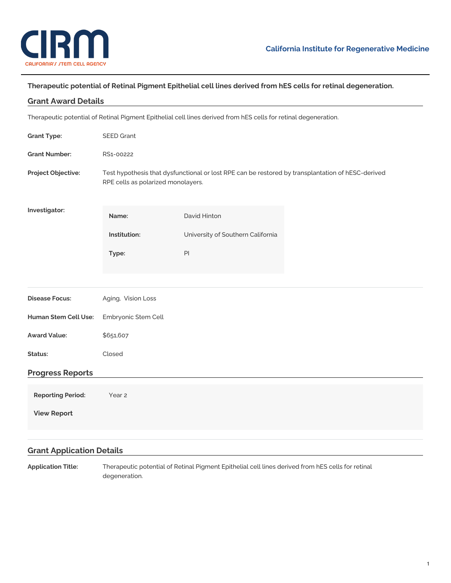

## **Therapeutic potential of Retinal Pigment Epithelial cell lines derived from hES cells for retinal degeneration.**

| <b>Grant Award Details</b>                                                                                      |                                                                                                                                         |                                   |  |
|-----------------------------------------------------------------------------------------------------------------|-----------------------------------------------------------------------------------------------------------------------------------------|-----------------------------------|--|
| Therapeutic potential of Retinal Pigment Epithelial cell lines derived from hES cells for retinal degeneration. |                                                                                                                                         |                                   |  |
| <b>Grant Type:</b>                                                                                              | <b>SEED Grant</b>                                                                                                                       |                                   |  |
| <b>Grant Number:</b>                                                                                            | RS1-00222                                                                                                                               |                                   |  |
| Project Objective:                                                                                              | Test hypothesis that dysfunctional or lost RPE can be restored by transplantation of hESC-derived<br>RPE cells as polarized monolayers. |                                   |  |
| Investigator:                                                                                                   | Name:                                                                                                                                   | David Hinton                      |  |
|                                                                                                                 | Institution:                                                                                                                            | University of Southern California |  |
|                                                                                                                 | Type:                                                                                                                                   | $\mathsf{Pl}$                     |  |
|                                                                                                                 |                                                                                                                                         |                                   |  |
| <b>Disease Focus:</b>                                                                                           | Aging, Vision Loss                                                                                                                      |                                   |  |
| Human Stem Cell Use:                                                                                            | Embryonic Stem Cell                                                                                                                     |                                   |  |
| <b>Award Value:</b>                                                                                             | \$651,607                                                                                                                               |                                   |  |
| Status:                                                                                                         | Closed                                                                                                                                  |                                   |  |
| <b>Progress Reports</b>                                                                                         |                                                                                                                                         |                                   |  |
| <b>Reporting Period:</b>                                                                                        | Year 2                                                                                                                                  |                                   |  |
| <b>View Report</b>                                                                                              |                                                                                                                                         |                                   |  |
|                                                                                                                 |                                                                                                                                         |                                   |  |
| <b>Grant Application Details</b>                                                                                |                                                                                                                                         |                                   |  |

**Application Title:** Therapeutic potential of Retinal Pigment Epithelial cell lines derived from hES cells for retinal degeneration.